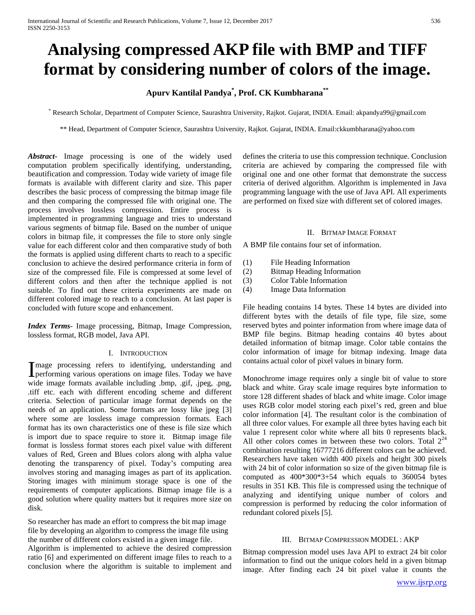# **Analysing compressed AKP file with BMP and TIFF format by considering number of colors of the image.**

## **Apurv Kantilal Pandya\* , Prof. CK Kumbharana\*\***

\* Research Scholar, Department of Computer Science, Saurashtra University, Rajkot. Gujarat, INDIA. Email: akpandya99@gmail.com

\*\* Head, Department of Computer Science, Saurashtra University, Rajkot. Gujarat, INDIA. Email:ckkumbharana@yahoo.com

*Abstract***-** Image processing is one of the widely used computation problem specifically identifying, understanding, beautification and compression. Today wide variety of image file formats is available with different clarity and size. This paper describes the basic process of compressing the bitmap image file and then comparing the compressed file with original one. The process involves lossless compression. Entire process is implemented in programming language and tries to understand various segments of bitmap file. Based on the number of unique colors in bitmap file, it compresses the file to store only single value for each different color and then comparative study of both the formats is applied using different charts to reach to a specific conclusion to achieve the desired performance criteria in form of size of the compressed file. File is compressed at some level of different colors and then after the technique applied is not suitable. To find out these criteria experiments are made on different colored image to reach to a conclusion. At last paper is concluded with future scope and enhancement.

*Index Terms*- Image processing, Bitmap, Image Compression, lossless format, RGB model, Java API.

#### I. INTRODUCTION

mage processing refers to identifying, understanding and Image processing refers to identifying, understanding and performing various operations on image files. Today we have wide image formats available including .bmp, .gif, .jpeg, .png, .tiff etc. each with different encoding scheme and different criteria. Selection of particular image format depends on the needs of an application. Some formats are lossy like jpeg [3] where some are lossless image compression formats. Each format has its own characteristics one of these is file size which is import due to space require to store it. Bitmap image file format is lossless format stores each pixel value with different values of Red, Green and Blues colors along with alpha value denoting the transparency of pixel. Today's computing area involves storing and managing images as part of its application. Storing images with minimum storage space is one of the requirements of computer applications. Bitmap image file is a good solution where quality matters but it requires more size on disk.

So researcher has made an effort to compress the bit map image file by developing an algorithm to compress the image file using the number of different colors existed in a given image file. Algorithm is implemented to achieve the desired compression ratio [6] and experimented on different image files to reach to a conclusion where the algorithm is suitable to implement and defines the criteria to use this compression technique. Conclusion criteria are achieved by comparing the compressed file with original one and one other format that demonstrate the success criteria of derived algorithm. Algorithm is implemented in Java programming language with the use of Java API. All experiments are performed on fixed size with different set of colored images.

#### II. BITMAP IMAGE FORMAT

A BMP file contains four set of information.

- (1) File Heading Information
- (2) Bitmap Heading Information
- (3) Color Table Information
- (4) Image Data Information

File heading contains 14 bytes. These 14 bytes are divided into different bytes with the details of file type, file size, some reserved bytes and pointer information from where image data of BMP file begins. Bitmap heading contains 40 bytes about detailed information of bitmap image. Color table contains the color information of image for bitmap indexing. Image data contains actual color of pixel values in binary form.

Monochrome image requires only a single bit of value to store black and white. Gray scale image requires byte information to store 128 different shades of black and white image. Color image uses RGB color model storing each pixel's red, green and blue color information [4]. The resultant color is the combination of all three color values. For example all three bytes having each bit value 1 represent color white where all bits 0 represents black. All other colors comes in between these two colors. Total  $2^{24}$ combination resulting 16777216 different colors can be achieved. Researchers have taken width 400 pixels and height 300 pixels with 24 bit of color information so size of the given bitmap file is computed as 400\*300\*3+54 which equals to 360054 bytes results in 351 KB. This file is compressed using the technique of analyzing and identifying unique number of colors and compression is performed by reducing the color information of redundant colored pixels [5].

#### III. BITMAP COMPRESSION MODEL : AKP

Bitmap compression model uses Java API to extract 24 bit color information to find out the unique colors held in a given bitmap image. After finding each 24 bit pixel value it counts the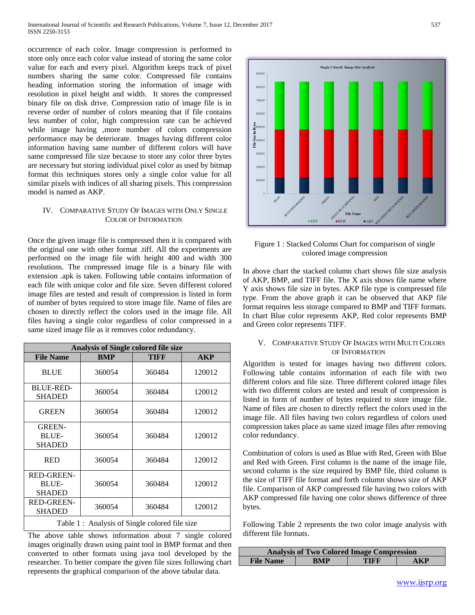occurrence of each color. Image compression is performed to store only once each color value instead of storing the same color value for each and every pixel. Algorithm keeps track of pixel numbers sharing the same color. Compressed file contains heading information storing the information of image with resolution in pixel height and width. It stores the compressed binary file on disk drive. Compression ratio of image file is in reverse order of number of colors meaning that if file contains less number of color, high compression rate can be achieved while image having ,more number of colors compression performance may be deteriorate. Images having different color information having same number of different colors will have same compressed file size because to store any color three bytes are necessary but storing individual pixel color as used by bitmap format this techniques stores only a single color value for all similar pixels with indices of all sharing pixels. This compression model is named as AKP.

#### IV. COMPARATIVE STUDY OF IMAGES WITH ONLY SINGLE COLOR OF INFORMATION

Once the given image file is compressed then it is compared with the original one with other format .tiff. All the experiments are performed on the image file with height 400 and width 300 resolutions. The compressed image file is a binary file with extension .apk is taken. Following table contains information of each file with unique color and file size. Seven different colored image files are tested and result of compression is listed in form of number of bytes required to store image file. Name of files are chosen to directly reflect the colors used in the image file. All files having a single color regardless of color compressed in a same sized image file as it removes color redundancy.

| <b>Analysis of Single colored file size</b>        |            |        |            |
|----------------------------------------------------|------------|--------|------------|
| <b>File Name</b>                                   | <b>BMP</b> | TIFF   | <b>AKP</b> |
| <b>BLUE</b>                                        | 360054     | 360484 | 120012     |
| <b>BLUE-RED-</b><br><b>SHADED</b>                  | 360054     | 360484 | 120012     |
| <b>GREEN</b>                                       | 360054     | 360484 | 120012     |
| <b>GREEN-</b><br><b>BLUE-</b><br><b>SHADED</b>     | 360054     | 360484 | 120012     |
| <b>RED</b>                                         | 360054     | 360484 | 120012     |
| <b>RED-GREEN-</b><br><b>BLUE-</b><br><b>SHADED</b> | 360054     | 360484 | 120012     |
| <b>RED-GREEN-</b><br><b>SHADED</b>                 | 360054     | 360484 | 120012     |
| Table 1: Analysis of Single colored file size      |            |        |            |

The above table shows information about 7 single colored images originally drawn using paint tool in BMP format and then converted to other formats using java tool developed by the researcher. To better compare the given file sizes following chart represents the graphical comparison of the above tabular data.



Figure 1 : Stacked Column Chart for comparison of single colored image compression

In above chart the stacked column chart shows file size analysis of AKP, BMP, and TIFF file. The X axis shows file name where Y axis shows file size in bytes. AKP file type is compressed file type. From the above graph it can be observed that AKP file format requires less storage compared to BMP and TIFF formats. In chart Blue color represents AKP, Red color represents BMP and Green color represents TIFF.

#### V. COMPARATIVE STUDY OF IMAGES WITH MULTI COLORS OF INFORMATION

Algorithm is tested for images having two different colors. Following table contains information of each file with two different colors and file size. Three different colored image files with two different colors are tested and result of compression is listed in form of number of bytes required to store image file. Name of files are chosen to directly reflect the colors used in the image file. All files having two colors regardless of colors used compression takes place as same sized image files after removing color redundancy.

Combination of colors is used as Blue with Red, Green with Blue and Red with Green. First column is the name of the image file, second column is the size required by BMP file, third column is the size of TIFF file format and forth column shows size of AKP file. Comparison of AKP compressed file having two colors with AKP compressed file having one color shows difference of three bytes.

Following Table 2 represents the two color image analysis with different file formats.

| <b>Analysis of Two Colored Image Compression</b> |            |      |                 |
|--------------------------------------------------|------------|------|-----------------|
| <b>File Name</b>                                 | <b>RMP</b> | TIFF | $\mathbf{A}$ KP |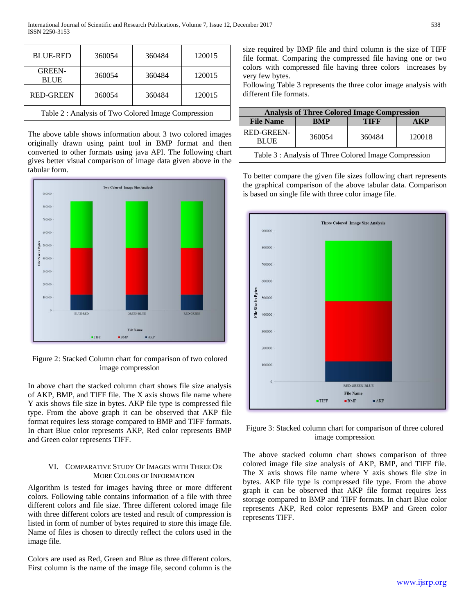| <b>BLUE-RED</b>                                    | 360054 | 360484 | 120015 |
|----------------------------------------------------|--------|--------|--------|
| <b>GREEN-</b><br><b>BLUE</b>                       | 360054 | 360484 | 120015 |
| <b>RED-GREEN</b>                                   | 360054 | 360484 | 120015 |
| Table 2: Analysis of Two Colored Image Compression |        |        |        |

The above table shows information about 3 two colored images originally drawn using paint tool in BMP format and then converted to other formats using java API. The following chart gives better visual comparison of image data given above in the tabular form.



Figure 2: Stacked Column chart for comparison of two colored image compression

In above chart the stacked column chart shows file size analysis of AKP, BMP, and TIFF file. The X axis shows file name where Y axis shows file size in bytes. AKP file type is compressed file type. From the above graph it can be observed that AKP file format requires less storage compared to BMP and TIFF formats. In chart Blue color represents AKP, Red color represents BMP and Green color represents TIFF.

## VI. COMPARATIVE STUDY OF IMAGES WITH THREE OR MORE COLORS OF INFORMATION

Algorithm is tested for images having three or more different colors. Following table contains information of a file with three different colors and file size. Three different colored image file with three different colors are tested and result of compression is listed in form of number of bytes required to store this image file. Name of files is chosen to directly reflect the colors used in the image file.

Colors are used as Red, Green and Blue as three different colors. First column is the name of the image file, second column is the size required by BMP file and third column is the size of TIFF file format. Comparing the compressed file having one or two colors with compressed file having three colors increases by very few bytes.

Following Table 3 represents the three color image analysis with different file formats.

| <b>Analysis of Three Colored Image Compression</b>    |            |        |        |
|-------------------------------------------------------|------------|--------|--------|
| <b>File Name</b>                                      | <b>BMP</b> | TIFF   | . KP   |
| <b>RED-GREEN-</b><br><b>BLUE</b>                      | 360054     | 360484 | 120018 |
| Table 3 : Analysis of Three Colored Image Compression |            |        |        |

To better compare the given file sizes following chart represents the graphical comparison of the above tabular data. Comparison is based on single file with three color image file.



Figure 3: Stacked column chart for comparison of three colored image compression

The above stacked column chart shows comparison of three colored image file size analysis of AKP, BMP, and TIFF file. The X axis shows file name where Y axis shows file size in bytes. AKP file type is compressed file type. From the above graph it can be observed that AKP file format requires less storage compared to BMP and TIFF formats. In chart Blue color represents AKP, Red color represents BMP and Green color represents TIFF.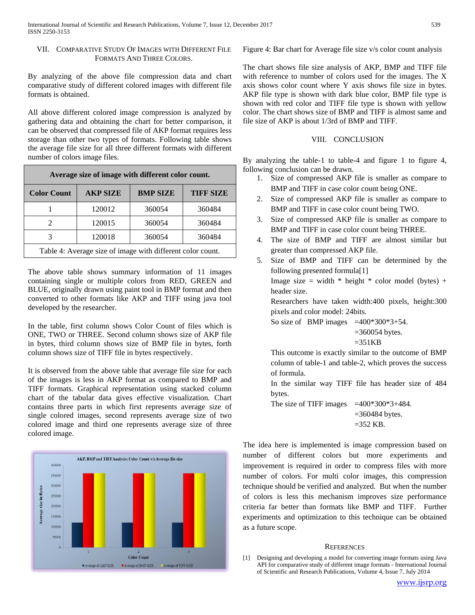## VII. COMPARATIVE STUDY OF IMAGES WITH DIFFERENT FILE FORMATS AND THREE COLORS.

By analyzing of the above file compression data and chart comparative study of different colored images with different file formats is obtained.

All above different colored image compression is analyzed by gathering data and obtaining the chart for better comparison, it can be observed that compressed file of AKP format requires less storage than other two types of formats. Following table shows the average file size for all three different formats with different number of colors image files.

| Average size of image with different color count.          |                 |                 |                  |
|------------------------------------------------------------|-----------------|-----------------|------------------|
| <b>Color Count</b>                                         | <b>AKP SIZE</b> | <b>BMP SIZE</b> | <b>TIFF SIZE</b> |
|                                                            | 120012          | 360054          | 360484           |
|                                                            | 120015          | 360054          | 360484           |
|                                                            | 120018          | 360054          | 360484           |
| Table 4: Average size of image with different color count. |                 |                 |                  |

The above table shows summary information of 11 images containing single or multiple colors from RED, GREEN and BLUE, originally drawn using paint tool in BMP format and then converted to other formats like AKP and TIFF using java tool developed by the researcher.

In the table, first column shows Color Count of files which is ONE, TWO or THREE. Second column shows size of AKP file in bytes, third column shows size of BMP file in bytes, forth column shows size of TIFF file in bytes respectively.

It is observed from the above table that average file size for each of the images is less in AKP format as compared to BMP and TIFF formats. Graphical representation using stacked column chart of the tabular data gives effective visualization. Chart contains three parts in which first represents average size of single colored images, second represents average size of two colored image and third one represents average size of three colored image.



Figure 4: Bar chart for Average file size v/s color count analysis

The chart shows file size analysis of AKP, BMP and TIFF file with reference to number of colors used for the images. The X axis shows color count where Y axis shows file size in bytes. AKP file type is shown with dark blue color, BMP file type is shown with red color and TIFF file type is shown with yellow color. The chart shows size of BMP and TIFF is almost same and file size of AKP is about 1/3rd of BMP and TIFF.

### VIII. CONCLUSION

By analyzing the table-1 to table-4 and figure 1 to figure 4, following conclusion can be drawn.

- 1. Size of compressed AKP file is smaller as compare to BMP and TIFF in case color count being ONE.
- 2. Size of compressed AKP file is smaller as compare to BMP and TIFF in case color count being TWO.
- 3. Size of compressed AKP file is smaller as compare to BMP and TIFF in case color count being THREE.
- 4. The size of BMP and TIFF are almost similar but greater than compressed AKP file.
- 5. Size of BMP and TIFF can be determined by the following presented formula[1] Image size = width  $*$  height  $*$  color model (bytes) + header size. Researchers have taken width:400 pixels, height:300 pixels and color model: 24bits.

So size of BMP images  $=400*300*3+54$ .

 $=360054$  bytes.

$$
=351KB
$$

This outcome is exactly similar to the outcome of BMP column of table-1 and table-2, which proves the success of formula.

In the similar way TIFF file has header size of 484 bytes.

The size of TIFF images  $=400*300*3+484$ . =360484 bytes.

 $=352$  KB.

The idea here is implemented is image compression based on number of different colors but more experiments and improvement is required in order to compress files with more number of colors. For multi color images, this compression technique should be verified and analyzed. But when the number of colors is less this mechanism improves size performance criteria far better than formats like BMP and TIFF. Further experiments and optimization to this technique can be obtained as a future scope.

#### **REFERENCES**

[1] Designing and developing a model for converting image formats using Java API for comparative study of different image formats - International Journal of Scientific and Research Publications, Volume 4, Issue 7, July 2014